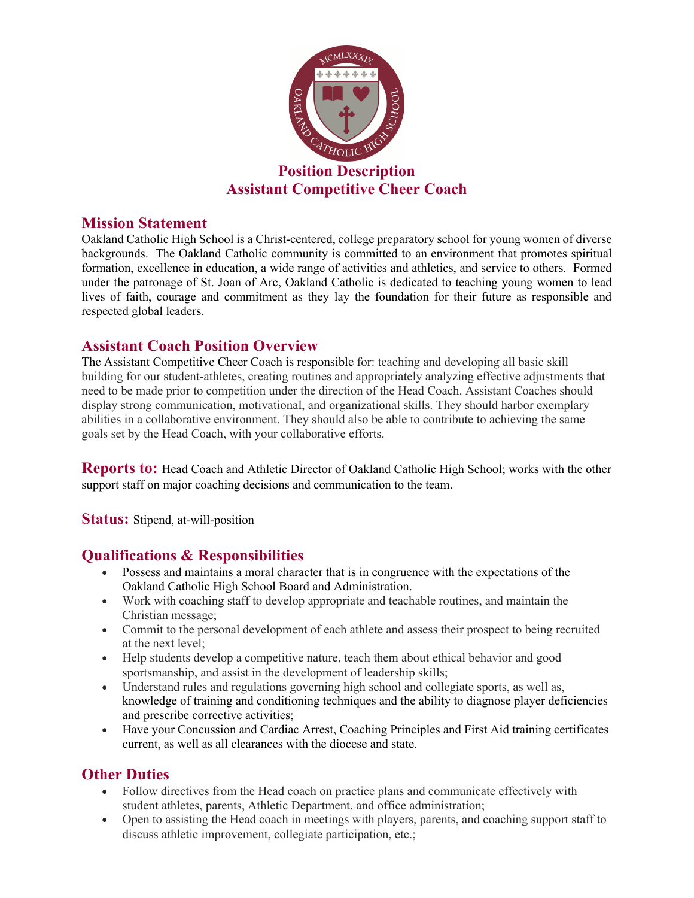

#### **Mission Statement**

Oakland Catholic High School is a Christ-centered, college preparatory school for young women of diverse backgrounds. The Oakland Catholic community is committed to an environment that promotes spiritual formation, excellence in education, a wide range of activities and athletics, and service to others. Formed under the patronage of St. Joan of Arc, Oakland Catholic is dedicated to teaching young women to lead lives of faith, courage and commitment as they lay the foundation for their future as responsible and respected global leaders.

#### **Assistant Coach Position Overview**

The Assistant Competitive Cheer Coach is responsible for: teaching and developing all basic skill building for our student-athletes, creating routines and appropriately analyzing effective adjustments that need to be made prior to competition under the direction of the Head Coach. Assistant Coaches should display strong communication, motivational, and organizational skills. They should harbor exemplary abilities in a collaborative environment. They should also be able to contribute to achieving the same goals set by the Head Coach, with your collaborative efforts.

**Reports to:** Head Coach and Athletic Director of Oakland Catholic High School; works with the other support staff on major coaching decisions and communication to the team.

**Status:** Stipend, at-will-position

# **Qualifications & Responsibilities**

- Possess and maintains a moral character that is in congruence with the expectations of the Oakland Catholic High School Board and Administration.
- Work with coaching staff to develop appropriate and teachable routines, and maintain the Christian message;
- Commit to the personal development of each athlete and assess their prospect to being recruited at the next level;
- Help students develop a competitive nature, teach them about ethical behavior and good sportsmanship, and assist in the development of leadership skills;
- Understand rules and regulations governing high school and collegiate sports, as well as, knowledge of training and conditioning techniques and the ability to diagnose player deficiencies and prescribe corrective activities;
- Have your Concussion and Cardiac Arrest, Coaching Principles and First Aid training certificates current, as well as all clearances with the diocese and state.

# **Other Duties**

- Follow directives from the Head coach on practice plans and communicate effectively with student athletes, parents, Athletic Department, and office administration;
- Open to assisting the Head coach in meetings with players, parents, and coaching support staff to discuss athletic improvement, collegiate participation, etc.;